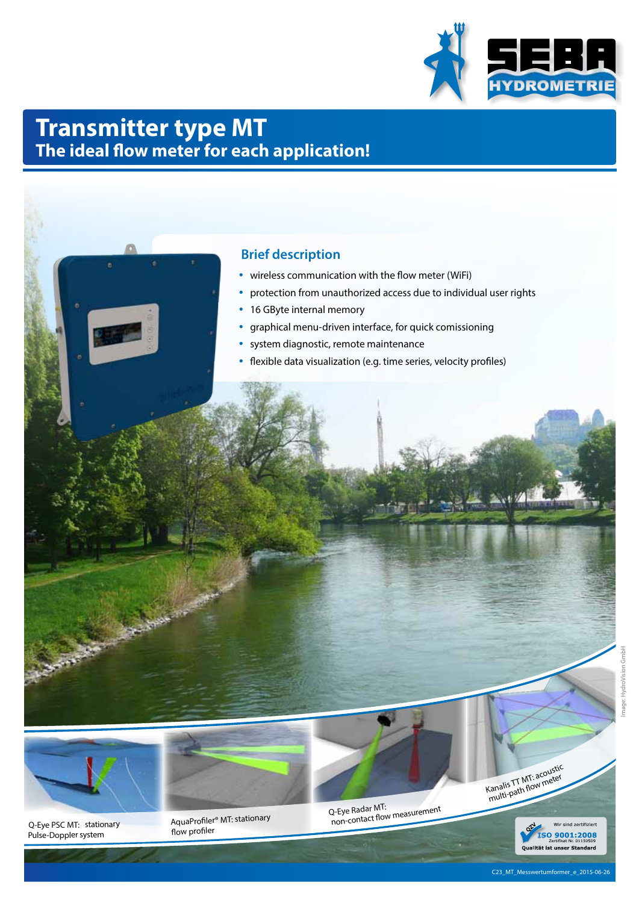

# **Transmitter type MT The ideal flow meter for each application!**

# **Brief description**

- wireless communication with the flow meter (WiFi)
- protection from unauthorized access due to individual user rights
- 16 GByte internal memory
- graphical menu-driven interface, for quick comissioning
- system diagnostic, remote maintenance
- flexible data visualization (e.g. time series, velocity profiles)



Q-Eye PSC MT: stationary<br>
Pulse-Doppler system flow profiler® MT: stationary<br>
Pulse-Doppler system flow profiler

canalis TT MT: according<br>multi-path flow meter

ind zertifiziert Qualität ist unser Standard

HydroVision GmbH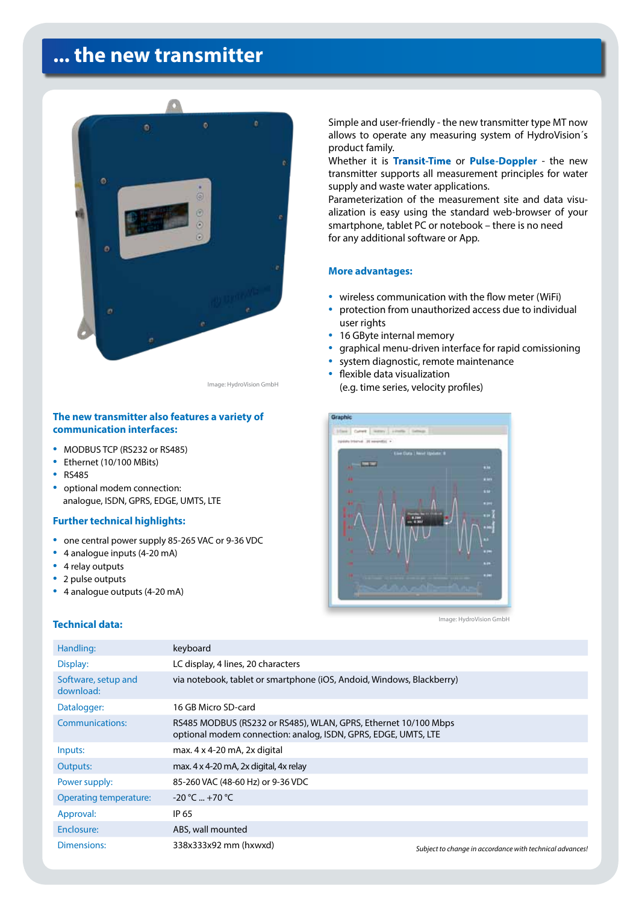# **... the new transmitter**



Image: HydroVision GmbH

### **The new transmitter also features a variety of communication interfaces:**

- MODBUS TCP (RS232 or RS485)
- Ethernet (10/100 MBits)
- RS485
- optional modem connection: analogue, ISDN, GPRS, EDGE, UMTS, LTE

#### **Further technical highlights:**

- one central power supply 85-265 VAC or 9-36 VDC
- 4 analogue inputs (4-20 mA)
- 4 relay outputs
- 2 pulse outputs
- 4 analogue outputs (4-20 mA)

#### **Technical data:**

Simple and user-friendly - the new transmitter type MT now allows to operate any measuring system of HydroVision´s product family.

Whether it is **Transit-Time** or **Pulse-Doppler** - the new transmitter supports all measurement principles for water supply and waste water applications.

Parameterization of the measurement site and data visualization is easy using the standard web-browser of your smartphone, tablet PC or notebook – there is no need for any additional software or App.

#### **More advantages:**

- wireless communication with the flow meter (WiFi)
- protection from unauthorized access due to individual user rights
- 16 GByte internal memory
- graphical menu-driven interface for rapid comissioning
- system diagnostic, remote maintenance
- flexible data visualization (e.g. time series, velocity profiles)



Image: HydroVision GmbH

| Handling:                        | keyboard                                                                                                                          |                                                          |
|----------------------------------|-----------------------------------------------------------------------------------------------------------------------------------|----------------------------------------------------------|
| Display:                         | LC display, 4 lines, 20 characters                                                                                                |                                                          |
| Software, setup and<br>download: | via notebook, tablet or smartphone (iOS, Andoid, Windows, Blackberry)                                                             |                                                          |
| Datalogger:                      | 16 GB Micro SD-card                                                                                                               |                                                          |
| Communications:                  | RS485 MODBUS (RS232 or RS485), WLAN, GPRS, Ethernet 10/100 Mbps<br>optional modem connection: analog, ISDN, GPRS, EDGE, UMTS, LTE |                                                          |
| Inputs:                          | max. $4 \times 4 - 20$ mA, $2 \times$ digital                                                                                     |                                                          |
| Outputs:                         | max. 4 x 4-20 mA, 2x digital, 4x relay                                                                                            |                                                          |
| Power supply:                    | 85-260 VAC (48-60 Hz) or 9-36 VDC                                                                                                 |                                                          |
| Operating temperature:           | $-20 °C = +70 °C$                                                                                                                 |                                                          |
| Approval:                        | IP 65                                                                                                                             |                                                          |
| Enclosure:                       | ABS, wall mounted                                                                                                                 |                                                          |
| Dimensions:                      | 338x333x92 mm (hxwxd)                                                                                                             | Subject to change in accordance with technical advances! |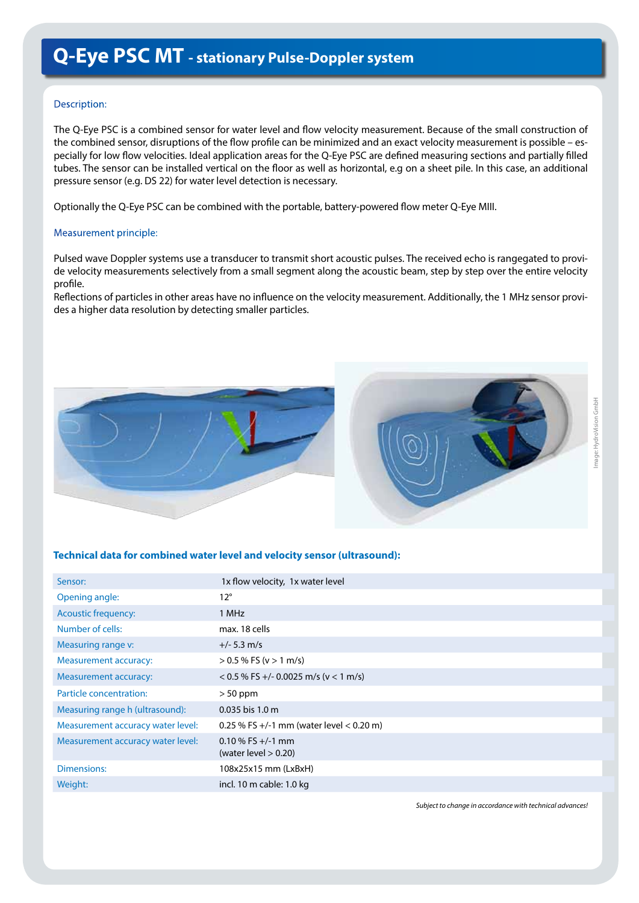## Description:

The Q-Eye PSC is a combined sensor for water level and flow velocity measurement. Because of the small construction of the combined sensor, disruptions of the flow profile can be minimized and an exact velocity measurement is possible – especially for low flow velocities. Ideal application areas for the Q-Eye PSC are defined measuring sections and partially filled tubes. The sensor can be installed vertical on the floor as well as horizontal, e.g on a sheet pile. In this case, an additional pressure sensor (e.g. DS 22) for water level detection is necessary.

Optionally the Q-Eye PSC can be combined with the portable, battery-powered flow meter Q-Eye MIII.

#### Measurement principle:

Pulsed wave Doppler systems use a transducer to transmit short acoustic pulses. The received echo is rangegated to provide velocity measurements selectively from a small segment along the acoustic beam, step by step over the entire velocity profile.

Reflections of particles in other areas have no influence on the velocity measurement. Additionally, the 1 MHz sensor provides a higher data resolution by detecting smaller particles.





### **Technical data for combined water level and velocity sensor (ultrasound):**

| Sensor:                           | 1x flow velocity, 1x water level               |
|-----------------------------------|------------------------------------------------|
| Opening angle:                    | $12^{\circ}$                                   |
| <b>Acoustic frequency:</b>        | 1 MHz                                          |
| Number of cells:                  | max. 18 cells                                  |
| Measuring range v:                | $+/- 5.3$ m/s                                  |
| <b>Measurement accuracy:</b>      | $> 0.5$ % FS (v $> 1$ m/s)                     |
| <b>Measurement accuracy:</b>      | $<$ 0.5 % FS +/- 0.0025 m/s (v $<$ 1 m/s)      |
| Particle concentration:           | $> 50$ ppm                                     |
| Measuring range h (ultrasound):   | 0.035 bis 1.0 m                                |
| Measurement accuracy water level: | 0.25 % FS +/-1 mm (water level $<$ 0.20 m)     |
| Measurement accuracy water level: | 0.10 % FS $+/-1$ mm<br>(water level $> 0.20$ ) |
| Dimensions:                       | 108x25x15 mm (LxBxH)                           |
| Weight:                           | incl. 10 m cable: 1.0 kg                       |

*Subject to change in accordance with technical advances!*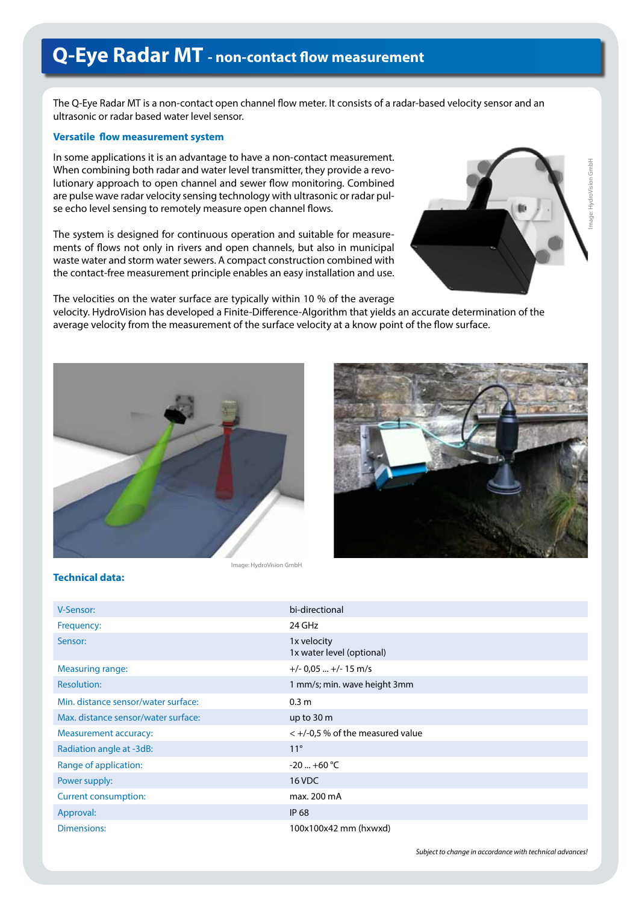# **Q-Eye Radar MT - non-contact flow measurement**

The Q-Eye Radar MT is a non-contact open channel flow meter. It consists of a radar-based velocity sensor and an ultrasonic or radar based water level sensor.

## **Versatile flow measurement system**

In some applications it is an advantage to have a non-contact measurement. When combining both radar and water level transmitter, they provide a revolutionary approach to open channel and sewer flow monitoring. Combined are pulse wave radar velocity sensing technology with ultrasonic or radar pulse echo level sensing to remotely measure open channel flows.

The system is designed for continuous operation and suitable for measurements of flows not only in rivers and open channels, but also in municipal waste water and storm water sewers. A compact construction combined with the contact-free measurement principle enables an easy installation and use.



The velocities on the water surface are typically within 10 % of the average velocity. HydroVision has developed a Finite-Difference-Algorithm that yields an accurate determination of the average velocity from the measurement of the surface velocity at a know point of the flow surface.





**Technical data:**

| V-Sensor:                           | bi-directional                           |
|-------------------------------------|------------------------------------------|
| Frequency:                          | 24 GHz                                   |
| Sensor:                             | 1x velocity<br>1x water level (optional) |
| Measuring range:                    | $+/- 0.05$ $+/- 15$ m/s                  |
| <b>Resolution:</b>                  | 1 mm/s; min. wave height 3mm             |
| Min. distance sensor/water surface: | 0.3 <sub>m</sub>                         |
| Max. distance sensor/water surface: | up to $30 \text{ m}$                     |
| <b>Measurement accuracy:</b>        | $<$ +/-0,5 % of the measured value       |
| Radiation angle at -3dB:            | $11^{\circ}$                             |
| Range of application:               | $-20$ $+60$ °C                           |
| Power supply:                       | 16 VDC                                   |
| Current consumption:                | max. 200 mA                              |
| Approval:                           | <b>IP 68</b>                             |
| Dimensions:                         | 100x100x42 mm (hxwxd)                    |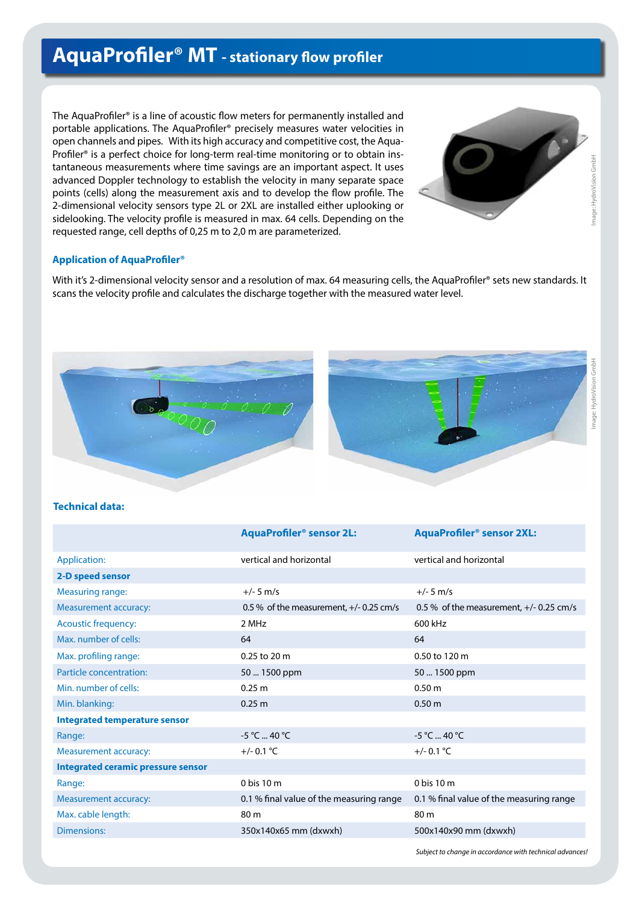# **AquaProfiler® MT - stationary flow profiler**

The AquaProfiler® is a line of acoustic flow meters for permanently installed and portable applications. The AquaProfiler® precisely measures water velocities in open channels and pipes. With its high accuracy and competitive cost, the Aqua-Profiler<sup>®</sup> is a perfect choice for long-term real-time monitoring or to obtain instantaneous measurements where time savings are an important aspect. It uses advanced Doppler technology to establish the velocity in many separate space points (cells) along the measurement axis and to develop the flow profile. The 2-dimensional velocity sensors type 2L or 2XL are installed either uplooking or sidelooking. The velocity profile is measured in max. 64 cells. Depending on the requested range, cell depths of 0,25 m to 2,0 m are parameterized.



#### **Application of AquaProfiler®**

With it's 2-dimensional velocity sensor and a resolution of max. 64 measuring cells, the AquaProfiler® sets new standards. It scans the velocity profile and calculates the discharge together with the measured water level.



## **Technical data:**

|                                           | <b>AquaProfiler<sup>®</sup> sensor 2L:</b> | <b>AquaProfiler<sup>®</sup> sensor 2XL:</b> |
|-------------------------------------------|--------------------------------------------|---------------------------------------------|
| Application:                              | vertical and horizontal                    | vertical and horizontal                     |
| 2-D speed sensor                          |                                            |                                             |
| <b>Measuring range:</b>                   | $+/- 5$ m/s                                | $+/- 5$ m/s                                 |
| <b>Measurement accuracy:</b>              | 0.5 % of the measurement, $+/-$ 0.25 cm/s  | 0.5 % of the measurement, $+/-$ 0.25 cm/s   |
| <b>Acoustic frequency:</b>                | 2 MHz                                      | 600 kHz                                     |
| Max, number of cells:                     | 64                                         | 64                                          |
| Max. profiling range:                     | 0.25 to 20 m                               | 0.50 to 120 m                               |
| Particle concentration:                   | 50  1500 ppm                               | 50  1500 ppm                                |
| Min. number of cells:                     | 0.25 m                                     | 0.50 <sub>m</sub>                           |
| Min. blanking:                            | 0.25 m                                     | 0.50 m                                      |
| <b>Integrated temperature sensor</b>      |                                            |                                             |
| Range:                                    | $-5 °C$ 40 °C                              | $-5 °C$ 40 °C                               |
| <b>Measurement accuracy:</b>              | $+/- 0.1 °C$                               | $+/- 0.1$ °C                                |
| <b>Integrated ceramic pressure sensor</b> |                                            |                                             |
| Range:                                    | $0$ bis 10 m                               | 0 bis 10 m                                  |
| Measurement accuracy:                     | 0.1 % final value of the measuring range   | 0.1 % final value of the measuring range    |
| Max. cable length:                        | 80 m                                       | 80 m                                        |
| <b>Dimensions:</b>                        | 350x140x65 mm (dxwxh)                      | 500x140x90 mm (dxwxh)                       |

*Subject to change in accordance with technical advances!*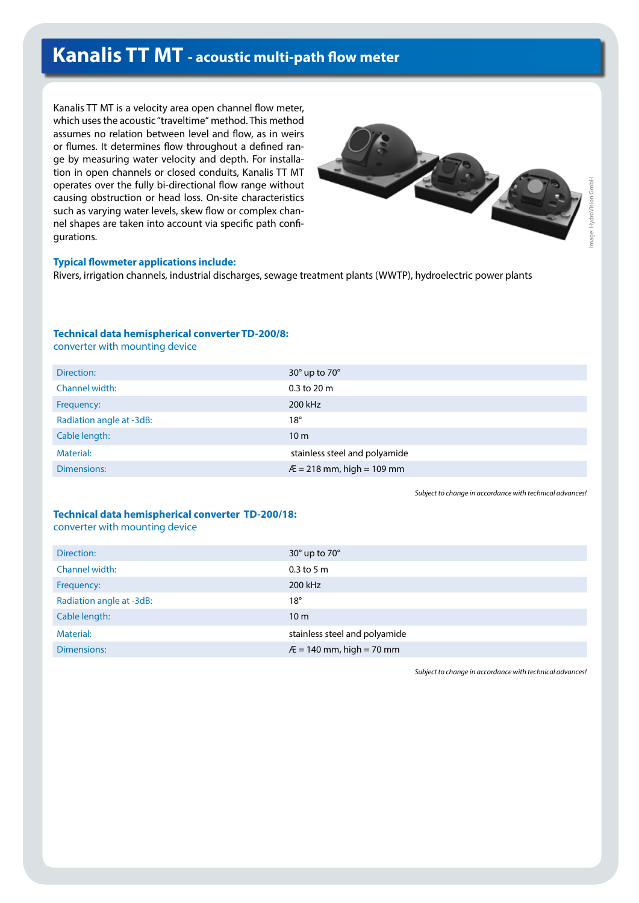# **Kanalis TT MT - acoustic multi-path flow meter**

Kanalis TT MT is a velocity area open channel flow meter, which uses the acoustic "traveltime" method. This method assumes no relation between level and flow, as in weirs or flumes. It determines flow throughout a defined range by measuring water velocity and depth. For installation in open channels or closed conduits, Kanalis TT MT operates over the fully bi-directional flow range without causing obstruction or head loss. On-site characteristics such as varying water levels, skew flow or complex channel shapes are taken into account via specific path configurations.



#### **Typical flowmeter applications include:**

Rivers, irrigation channels, industrial discharges, sewage treatment plants (WWTP), hydroelectric power plants

### **Technical data hemispherical converter TD-200/8:**

converter with mounting device

| Direction:               | $30^\circ$ up to $70^\circ$   |
|--------------------------|-------------------------------|
| Channel width:           | $0.3$ to $20 \text{ m}$       |
| Frequency:               | 200 kHz                       |
| Radiation angle at -3dB: | $18^{\circ}$                  |
| Cable length:            | 10 <sub>m</sub>               |
| Material:                | stainless steel and polyamide |
| Dimensions:              | $E = 218$ mm, high = 109 mm   |
|                          |                               |

*Subject to change in accordance with technical advances!* 

#### **Technical data hemispherical converter TD-200/18:** converter with mounting device

| Direction:               | $30^\circ$ up to $70^\circ$   |
|--------------------------|-------------------------------|
| Channel width:           | $0.3$ to 5 m                  |
| Frequency:               | 200 kHz                       |
| Radiation angle at -3dB: | $18^{\circ}$                  |
| Cable length:            | 10 <sub>m</sub>               |
| Material:                | stainless steel and polyamide |
| Dimensions:              | $E = 140$ mm, high = 70 mm    |

*Subject to change in accordance with technical advances!*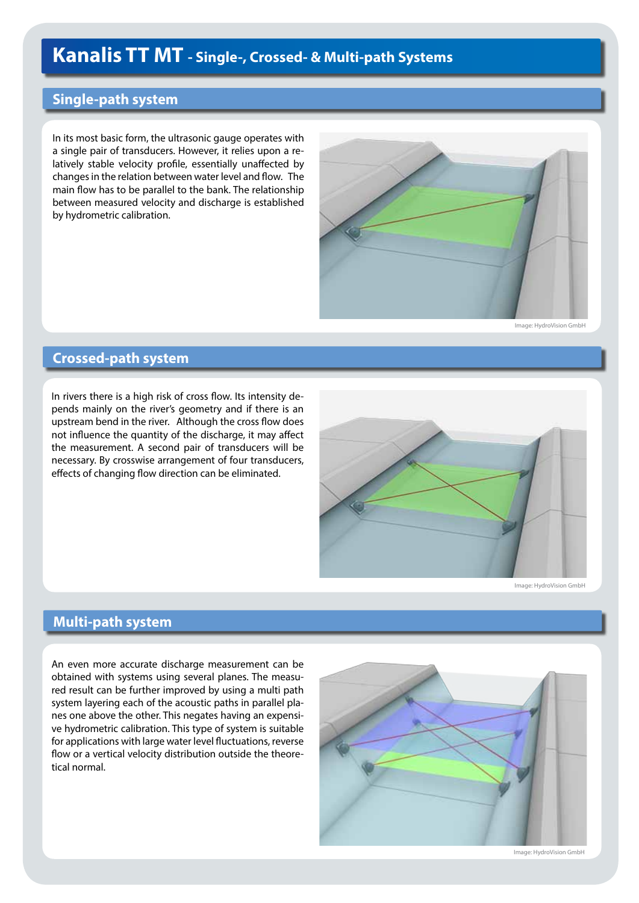# **Kanalis TT MT - Single-, Crossed- & Multi-path Systems**

# **Single-path system**

In its most basic form, the ultrasonic gauge operates with a single pair of transducers. However, it relies upon a relatively stable velocity profile, essentially unaffected by changes in the relation between water level and flow. The main flow has to be parallel to the bank. The relationship between measured velocity and discharge is established by hydrometric calibration.



Image: HydroVision GmbH

## **Crossed-path system**

In rivers there is a high risk of cross flow. Its intensity depends mainly on the river's geometry and if there is an upstream bend in the river. Although the cross flow does not influence the quantity of the discharge, it may affect the measurement. A second pair of transducers will be necessary. By crosswise arrangement of four transducers, effects of changing flow direction can be eliminated.



Image: HydroVision GmbH

## **Multi-path system**

An even more accurate discharge measurement can be obtained with systems using several planes. The measured result can be further improved by using a multi path system layering each of the acoustic paths in parallel planes one above the other. This negates having an expensive hydrometric calibration. This type of system is suitable for applications with large water level fluctuations, reverse flow or a vertical velocity distribution outside the theoretical normal.



Image: HydroVision GmbH